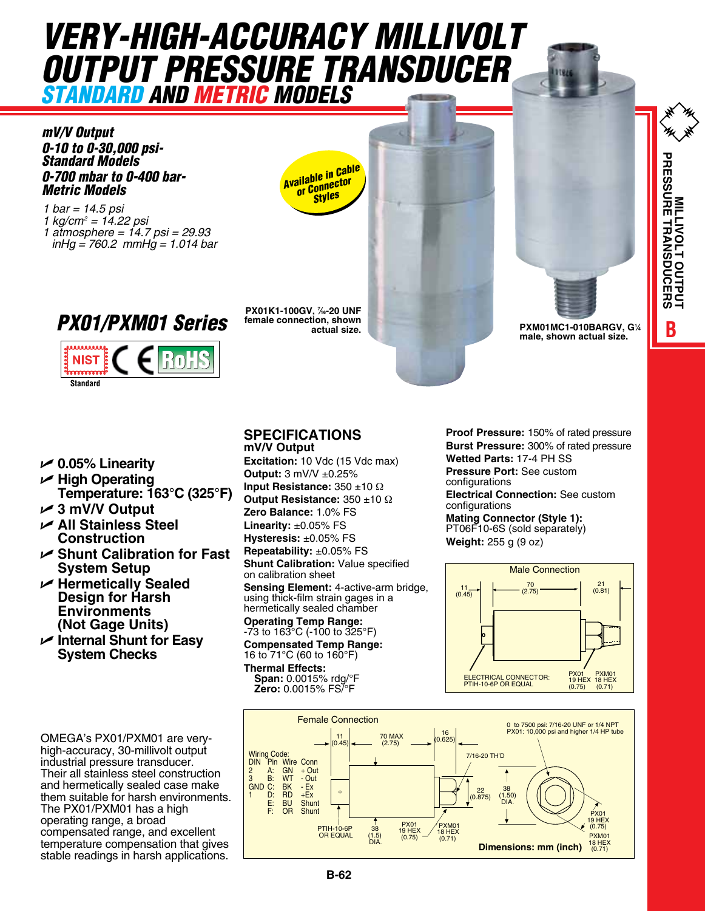# *VERY-HIGH-ACCURACY MILLIVOLT OUTPUT PRESSURE TRANSDUCER STANDARD AND METRIC MODELS*

*mV/V Output 0-10 to 0-30,000 psi-Standard Models 0-700 mbar to 0-400 bar-Metric Models* 

*1 bar = 14.5 psi 1 kg/cm2 = 14.22 psi 1 atmosphere = 14.7 psi = 29.93 inHg = 760.2 mmHg = 1.014 bar*

*PX01/PXM01 Series*

RoHS



**PX01K1-100GV, 7 ⁄16-20 UNF female connection, shown** 





U **0.05% Linearity**

**Standard**

**NIST**  $\mathbf{r}$ 

- U **High Operating Temperature: 163°C (325°F)**
- U **3 mV/V Output**
- U **All Stainless Steel Construction**
- U **Shunt Calibration for Fast System Setup**
- U **Hermetically Sealed Design for Harsh Environments (Not Gage Units)**
- U **Internal Shunt for Easy System Checks**

OMEGA's PX01/PXM01 are veryhigh-accuracy, 30-millivolt output industrial pressure transducer. Their all stainless steel construction and hermetically sealed case make them suitable for harsh environments. The PX01/PXM01 has a high operating range, a broad compensated range, and excellent temperature compensation that gives stable readings in harsh applications.

## **SPECIFICATIONS**

**mV/V Output Excitation:** 10 Vdc (15 Vdc max) **Output:** 3 mV/V ±0.25% **Input Resistance:** 350 ±10 Ω **Output Resistance:** 350 ±10 Ω **Zero Balance:** 1.0% FS **Linearity:** ±0.05% FS **Hysteresis:** ±0.05% FS **Repeatability:** ±0.05% FS **Shunt Calibration:** Value specified

on calibration sheet **Sensing Element: 4-active-arm bridge, behang Element:** 4 active and<br>using thick-film strain gages in a hermetically sealed chamber

**Operating Temp Range:** -73 to 163°C (-100 to 325°F) **Compensated Temp Range:** ealed Cham<br>mp Range:

16 to 71°C (60 to 160°F) **Thermal Effects: Span:** 0.0015% rdg/°F **Zero:** 0.0015% FS/°F

**Proof Pressure:** 150% of rated pressure **Burst Pressure:** 300% of rated pressure **Wetted Parts:** 17-4 PH SS **Pressure Port:** See custom configurations

**Represent Linux Clectrical Connection:** See custom configurations

**Mating Connector (Style 1):** PT06F10-6S (sold separately) **Weight:** 255 g (9 oz)



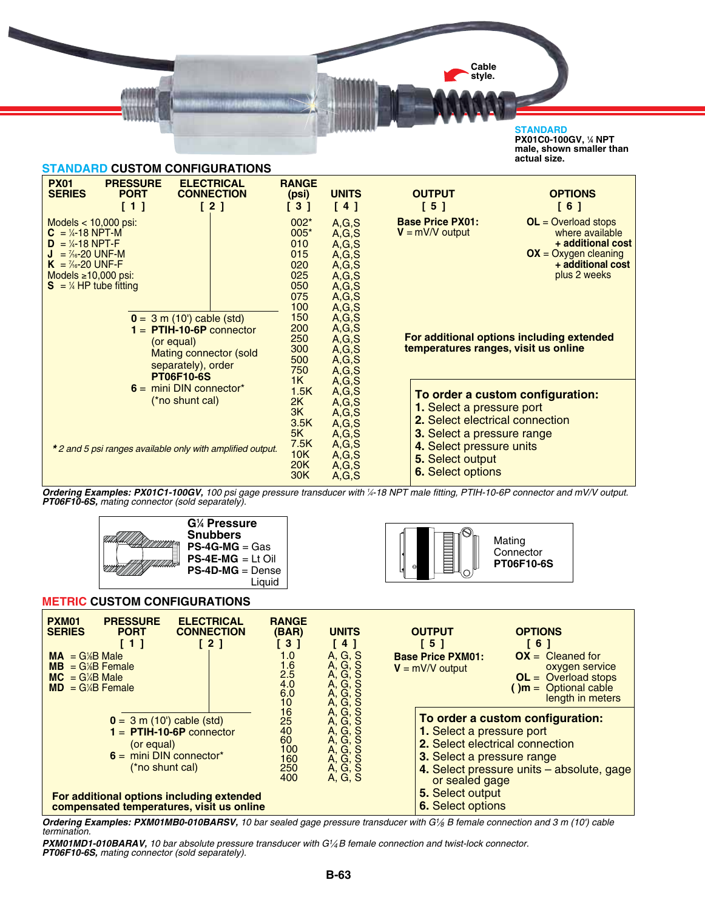**Cable style.**

> Mating **Connector PT06F10-6S**

#### **STANDARD**

**PX01C0-100GV, 1 ⁄4 NPT male, shown smaller than actual size.**



*Ordering Examples: PX01C1-100GV, 100 psi gage pressure transducer with 1 ⁄4-18 NPT male fitting, PTIH-10-6P connector and mV/V output. PT06F10-6S, mating connector (sold separately).* 



#### **METRIC CUSTOM CONFIGURATIONS**

| <b>PXM01</b><br><b>PRESSURE</b><br><b>ELECTRICAL</b><br><b>SERIES</b><br><b>PORT</b><br><b>CONNECTION</b><br>$\left[\begin{array}{c}2\end{array}\right]$<br>[1]<br>$= G/B$ Male<br><b>MA</b><br>$= G/B$ Female<br><b>MB</b><br>$= G/4B$ Male<br><b>MC</b><br>$MD = G/4B$ Female | <b>RANGE</b><br>(BAR)<br><b>631</b><br>1.0<br>$1.6$<br>$2.5$<br>4.0<br>6.0<br>10 | <b>UNITS</b><br>$[4]$<br>A, G, S<br>A, G, S<br>A, G, S<br>A, G, S<br>A, G, S                    | <b>OUTPUT</b><br><b>[5]</b><br><b>Base Price PXM01:</b><br>$V = mV/V$ output                                                                                 | <b>OPTIONS</b><br><b>61</b><br>$OX = Cleaned for$<br>oxygen service<br>$OL = Overload stops$<br>$\sum_{m=1}^{n}$ Optional cable<br>length in meters |
|---------------------------------------------------------------------------------------------------------------------------------------------------------------------------------------------------------------------------------------------------------------------------------|----------------------------------------------------------------------------------|-------------------------------------------------------------------------------------------------|--------------------------------------------------------------------------------------------------------------------------------------------------------------|-----------------------------------------------------------------------------------------------------------------------------------------------------|
| $0 = 3$ m (10') cable (std)<br>$1 =$ PTIH-10-6P connector<br>(or equal)<br>$6 =$ mini DIN connector <sup>*</sup><br>(*no shunt cal)<br>For additional options including extended<br>compensated temperatures, visit us online                                                   | $\frac{16}{25}$<br>60<br>100<br>160<br>250<br>400                                | A, G, S<br>A, G, S<br>A, G, S<br>A, G, S<br>A, G, S<br>A, G, S<br>A, G, S<br>A, G, S<br>A, G, S | 1. Select a pressure port<br>2. Select electrical connection<br>3. Select a pressure range<br>or sealed gage<br>5. Select output<br><b>6.</b> Select options | To order a custom configuration:<br>4. Select pressure units - absolute, gage                                                                       |

*Ordering Examples: PXM01MB0-010BARSV, 10 bar sealed gage pressure transducer with G1⁄8 B female connection and 3 m (10') cable termination.*

*PXM01MD1-010BARAV, 10 bar absolute pressure transducer with G1⁄4 B female connection and twist-lock connector. PT06F10-6S, mating connector (sold separately).*